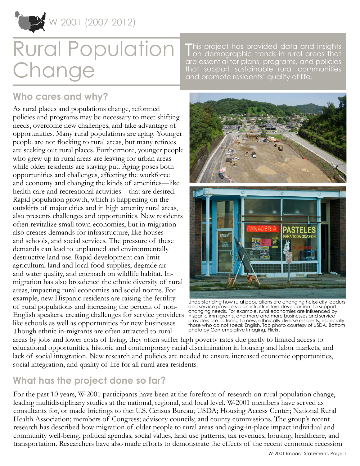

W-2001 (2007-2012)

# Rural Population Change

This project has provided data and insights<br>Ton demographic trends in rural areas that on demographic trends in rural areas that are essential for plans, programs, and policies that support sustainable rural communities and promote residents' quality of life.

## **Who cares and why?**

As rural places and populations change, reformed policies and programs may be necessary to meet shifting needs, overcome new challenges, and take advantage of opportunities. Many rural populations are aging. Younger people are not flocking to rural areas, but many retirees are seeking out rural places. Furthermore, younger people who grew up in rural areas are leaving for urban areas while older residents are staying put. Aging poses both opportunities and challenges, affecting the workforce and economy and changing the kinds of amenities—like health care and recreational activities—that are desired. Rapid population growth, which is happening on the outskirts of major cities and in high amenity rural areas, also presents challenges and opportunities. New residents often revitalize small town economies, but in-migration also creates demands for infrastructure, like houses and schools, and social services. The pressure of these demands can lead to unplanned and environmentally destructive land use. Rapid development can limit agricultural land and local food supplies, degrade air and water quality, and encroach on wildlife habitat. Inmigration has also broadened the ethnic diversity of rural areas, impacting rural economies and social norms. For example, new Hispanic residents are raising the fertility of rural populations and increasing the percent of non-English speakers, creating challenges for service providers like schools as well as opportunities for new businesses. Though ethnic in-migrants are often attracted to rural



Understanding how rural populations are changing helps city leaders and service providers plan infrastructure development to support changing needs. For example, rural economies are influenced by Hispanic immigrants, and more and more businesses and service providers are catering to new, ethnically diverse residents, especially those who do not speak English. Top photo courtesy of USDA. Bottom photo by Contemplative Imaging, Flickr.

areas by jobs and lower costs of living, they often suffer high poverty rates due partly to limited access to educational opportunities, historic and contemporary racial discrimination in housing and labor markets, and lack of social integration. New research and policies are needed to ensure increased economic opportunities, social integration, and quality of life for all rural area residents.

## **What has the project done so far?**

For the past 10 years, W-2001 participants have been at the forefront of research on rural population change, leading multidisciplinary studies at the national, regional, and local level. W-2001 members have served as consultants for, or made briefings to the: U.S. Census Bureau; USDA; Housing Access Center; National Rural Health Association; members of Congress; advisory councils; and county commissions. The group's recent research has described how migration of older people to rural areas and aging-in-place impact individual and community well-being, political agendas, social values, land use patterns, tax revenues, housing, healthcare, and transportation. Researchers have also made efforts to demonstrate the effects of the recent economic recession